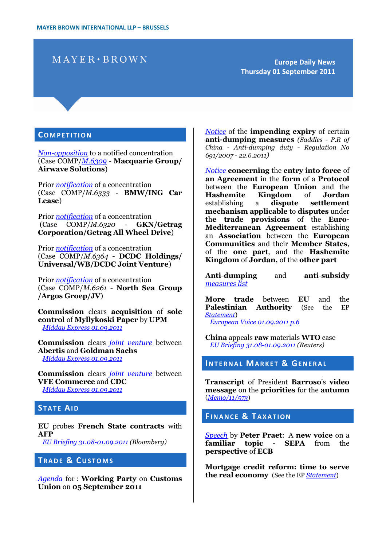# $MAYER \cdot BROWN$

**Europe Daily News Thursday 01 September 2011**

#### **CO M P E T I T I O N**

*[Non-opposition](http://eur-lex.europa.eu/LexUriServ/LexUriServ.do?uri=OJ:C:2011:257:0001:0001:EN:PDF)* to a notified concentration (Case COMP/*[M.6309](http://ec.europa.eu/competition/elojade/isef/case_details.cfm?proc_code=2_M_6309)* - **Macquarie Group/ Airwave Solutions**)

Prior *[notification](http://eur-lex.europa.eu/LexUriServ/LexUriServ.do?uri=OJ:C:2011:257:0008:0008:EN:PDF)* of a concentration (Case COMP/*M.6333* - **BMW/ING Car Lease**)

Prior *[notification](http://eur-lex.europa.eu/LexUriServ/LexUriServ.do?uri=OJ:C:2011:257:0009:0009:EN:PDF)* of a concentration (Case COMP/*M.6320* - **GKN/Getrag Corporation/Getrag All Wheel Drive**)

Prior *[notification](http://eur-lex.europa.eu/LexUriServ/LexUriServ.do?uri=OJ:C:2011:257:0010:0010:EN:PDF)* of a concentration (Case COMP/*M.6364* - **DCDC Holdings/ Universal/WB/DCDC Joint Venture**)

Prior *[notification](http://eur-lex.europa.eu/LexUriServ/LexUriServ.do?uri=OJ:C:2011:257:0011:0011:EN:PDF)* of a concentration (Case COMP/*M.6261* - **North Sea Group /Argos Groep/JV**)

**Commission** clears **acquisition** of **sole control** of **Myllykoski Paper** by **UPM** *[Midday Express 01.09.2011](http://europa.eu/rapid/pressReleasesAction.do?reference=MEX/11/0901&format=HTML&aged=0&language=EN&guiLanguage=en)*

**Commission** clears *[joint venture](http://ec.europa.eu/competition/elojade/isef/case_details.cfm?proc_code=2_M_6335)* between **Abertis** and **Goldman Sachs** *[Midday Express 01.09.2011](http://europa.eu/rapid/pressReleasesAction.do?reference=MEX/11/0901&format=HTML&aged=0&language=EN&guiLanguage=en)*

**Commission** clears *[joint venture](http://ec.europa.eu/competition/elojade/isef/case_details.cfm?proc_code=2_M_6210)* between **VFE Commerce** and **CDC** *[Midday Express 01.09.2011](http://europa.eu/rapid/pressReleasesAction.do?reference=MEX/11/0901&format=HTML&aged=0&language=EN&guiLanguage=en)*

### **STATE AID**

**EU** probes **French State contracts** with **AFP** *[EU Briefing 31.08-01.09.2011](http://www.bloomberg.com/news/2011-09-01/eu-probes-french-state-contracts-with-afp-les-echos-reports.html) (Bloomberg)*

# **TRADE & CUSTOMS**

*[Agenda](http://register.consilium.europa.eu/pdf/en/11/cm03/cm03979-re01.en11.pdf)* for : **Working Party** on **Customs Union** on **05 September 2011**

*[Notice](http://eur-lex.europa.eu/LexUriServ/LexUriServ.do?uri=OJ:C:2011:257:0007:0007:EN:PDF)* of the **impending expiry** of certain **anti-dumping measures** *(Saddles - P.R of China - Anti-dumping duty - Regulation No 691/2007 - 22.6.2011)*

*[Notice](http://eur-lex.europa.eu/LexUriServ/LexUriServ.do?uri=OJ:L:2011:226:0001:0001:EN:PDF)* **concerning** the **entry into force** of **an Agreement** in the **form** of a **Protocol** between the **European Union** and the **Hashemite Kingdom** of **Jordan** establishing a **dispute settlement mechanism applicable** to **disputes** under **t**h**e trade provisions** of the **Euro-Mediterranean Agreement** establishing an **Association** between the **European Communities** and their **Member States**, of the **one part**, and the **Hashemite Kingdom** of **Jordan,** of the **other part**

**Anti**-**dumping** and **anti**-**subsidy** *[measures list](http://trade.ec.europa.eu/doclib/html/113191.htm)*

**More trade** between **EU** and the **Palestinian Authority** (See the EP *[Statement](http://www.europarl.europa.eu/en/pressroom/content/20110829IPR25430/html/More-trade-between-EU-and-the-Palestinian-Authority)*)

*[European Voice 01.09.2011 p.6](http://www.europeanvoice.com/article/imported/palestine-trade-deal-moves-closer-to-approval/71895.aspx)*

**China** appeals **raw** materials **WTO** case *[EU Briefing 31.08-01.09.2011](http://af.reuters.com/article/metalsNews/idAFL4E7K108X20110901) (Reuters)*

#### **INTERNAL MARKET & GENERAL**

**Transcript** of President **Barroso**'s **video message** on the **priorities** for the **autumn** (*[Memo/11/573](http://europa.eu/rapid/pressReleasesAction.do?reference=MEMO/11/573&format=HTML&aged=0&language=EN&guiLanguage=en)*)

#### **FINANCE & TAXATION**

*[Speech](http://www.ecb.int/press/key/date/2011/html/sp110831.en.html)* by **Peter Praet**: A **new voice** on a **familiar topic** - **SEPA** from the **perspective** of **ECB**

**Mortgage credit reform: time to serve the real economy** (See the EP *[Statement](http://www.europarl.europa.eu/en/headlines/content/20110826STO25374/html/Mortgage-credit-reform-time-to-serve-the-real-economy)*)